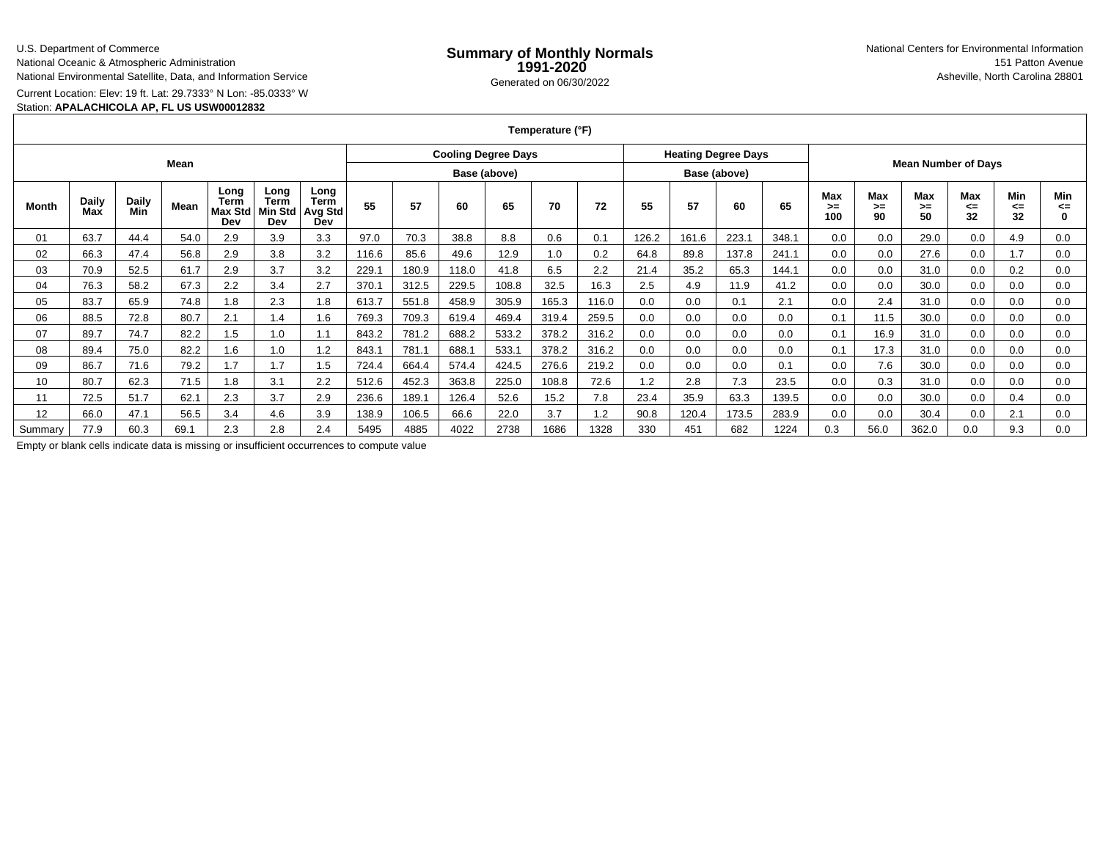# U.S. Department of Commerce

National Oceanic & Atmospheric AdministrationNational Environmental Satellite, Data, and Information Service

Current Location: Elev: 19 ft. Lat: 29.7333° N Lon: -85.0333° W

### Station: **APALACHICOLA AP, FL US USW00012832**

| Temperature (°F) |  |
|------------------|--|
|------------------|--|

|         |                     |                     |      |                                | <b>Cooling Degree Days</b>            |                                       |              |       |       | <b>Heating Degree Days</b> |       |              |       |       |       |                            |                  |                 |                        |                        |                 |           |
|---------|---------------------|---------------------|------|--------------------------------|---------------------------------------|---------------------------------------|--------------|-------|-------|----------------------------|-------|--------------|-------|-------|-------|----------------------------|------------------|-----------------|------------------------|------------------------|-----------------|-----------|
| Mean    |                     |                     |      |                                |                                       |                                       | Base (above) |       |       |                            |       | Base (above) |       |       |       | <b>Mean Number of Days</b> |                  |                 |                        |                        |                 |           |
| Month   | <b>Daily</b><br>Max | <b>Daily</b><br>Min | Mean | Long<br>Term<br>Max Std<br>Dev | Long<br><b>Term</b><br>Min Std<br>Dev | Long<br><b>Term</b><br>Avg Std<br>Dev | 55           | 57    | 60    | 65                         | 70    | 72           | 55    | 57    | 60    | 65                         | Max<br>>≕<br>100 | Max<br>≻=<br>90 | <b>Max</b><br>≻=<br>50 | <b>Max</b><br><=<br>32 | Min<br><=<br>32 | Min<br><= |
| 01      | 63.7                | 44.4                | 54.0 | 2.9                            | 3.9                                   | 3.3                                   | 97.0         | 70.3  | 38.8  | 8.8                        | 0.6   | 0.1          | 126.2 | 161.6 | 223.1 | 348.1                      | 0.0              | 0.0             | 29.0                   | 0.0                    | 4.9             | 0.0       |
| 02      | 66.3                | 47.4                | 56.8 | 2.9                            | 3.8                                   | 3.2                                   | 116.6        | 85.6  | 49.6  | 12.9                       | 1.0   | 0.2          | 64.8  | 89.8  | 137.8 | 241.1                      | 0.0              | 0.0             | 27.6                   | 0.0                    | 1.7             | 0.0       |
| 03      | 70.9                | 52.5                | 61.7 | 2.9                            | 3.7                                   | 3.2                                   | 229.1        | 180.9 | 118.0 | 41.8                       | 6.5   | 2.2          | 21.4  | 35.2  | 65.3  | 144.1                      | 0.0              | 0.0             | 31.0                   | 0.0                    | 0.2             | 0.0       |
| 04      | 76.3                | 58.2                | 67.3 | 2.2                            | 3.4                                   | 2.7                                   | 370.1        | 312.5 | 229.5 | 108.8                      | 32.5  | 16.3         | 2.5   | 4.9   | 11.9  | 41.2                       | 0.0              | 0.0             | 30.0                   | 0.0                    | 0.0             | 0.0       |
| 05      | 83.7                | 65.9                | 74.8 | 1.8                            | 2.3                                   | 1.8                                   | 613.7        | 551.8 | 458.9 | 305.9                      | 165.3 | 116.0        | 0.0   | 0.0   | 0.1   | 2.1                        | 0.0              | 2.4             | 31.0                   | 0.0                    | 0.0             | 0.0       |
| 06      | 88.5                | 72.8                | 80.7 | 2.1                            | 1.4                                   | 1.6                                   | 769.3        | 709.3 | 619.4 | 469.4                      | 319.4 | 259.5        | 0.0   | 0.0   | 0.0   | 0.0                        | 0.1              | 11.5            | 30.0                   | 0.0                    | 0.0             | 0.0       |
| 07      | 89.7                | 74.7                | 82.2 | 1.5                            | 1.0                                   |                                       | 843.2        | 781.2 | 688.2 | 533.2                      | 378.2 | 316.2        | 0.0   | 0.0   | 0.0   | 0.0                        | 0.1              | 16.9            | 31.0                   | 0.0                    | 0.0             | 0.0       |
| 08      | 89.4                | 75.0                | 82.2 | 1.6                            | 1.0                                   | 1.2                                   | 843.1        | 781.1 | 688.1 | 533.1                      | 378.2 | 316.2        | 0.0   | 0.0   | 0.0   | 0.0                        | 0.1              | 17.3            | 31.0                   | 0.0                    | 0.0             | 0.0       |
| 09      | 86.7                | 71.6                | 79.2 | 1.7                            | 1.7                                   | 1.5                                   | 724.4        | 664.4 | 574.4 | 424.5                      | 276.6 | 219.2        | 0.0   | 0.0   | 0.0   | 0.1                        | 0.0              | 7.6             | 30.0                   | 0.0                    | 0.0             | 0.0       |
| 10      | 80.7                | 62.3                | 71.5 | 1.8                            | 3.1                                   | 2.2                                   | 512.6        | 452.3 | 363.8 | 225.0                      | 108.8 | 72.6         | 1.2   | 2.8   | 7.3   | 23.5                       | 0.0              | 0.3             | 31.0                   | 0.0                    | 0.0             | 0.0       |
| 11      | 72.5                | 51.7                | 62.1 | 2.3                            | 3.7                                   | 2.9                                   | 236.6        | 189.1 | 126.4 | 52.6                       | 15.2  | 7.8          | 23.4  | 35.9  | 63.3  | 139.5                      | 0.0              | 0.0             | 30.0                   | 0.0                    | 0.4             | 0.0       |
| 12      | 66.0                | 47.1                | 56.5 | 3.4                            | 4.6                                   | 3.9                                   | 138.9        | 106.5 | 66.6  | 22.0                       | 3.7   | 1.2          | 90.8  | 120.4 | 173.5 | 283.9                      | 0.0              | 0.0             | 30.4                   | 0.0                    | 2.1             | 0.0       |
| Summarv | 77.9                | 60.3                | 69.1 | 2.3                            | 2.8                                   | 2.4                                   | 5495         | 4885  | 4022  | 2738                       | 1686  | 1328         | 330   | 451   | 682   | 1224                       | 0.3              | 56.0            | 362.0                  | 0.0                    | 9.3             | 0.0       |

Empty or blank cells indicate data is missing or insufficient occurrences to compute value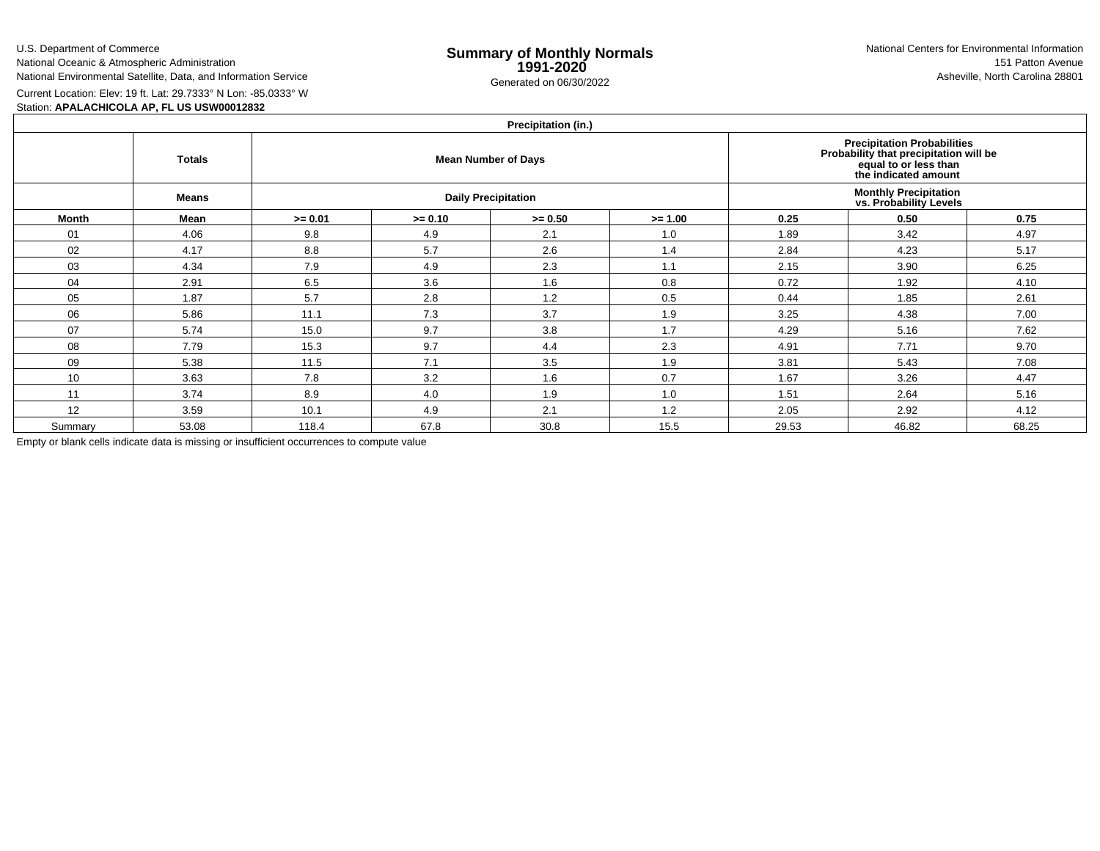U.S. Department of CommerceNational Oceanic & Atmospheric Administration

National Environmental Satellite, Data, and Information Service

e **Summary of Monthly Normals**<br> **1991-2020** 151 Patton Avenue **1991-2020** 1997-2020 e Generated on 06/30/2022 Asheville, North Carolina 28801 National Centers for Environmental Information151 Patton Avenue

Current Location: Elev: 19 ft. Lat: 29.7333° N Lon: -85.0333° W

Station: **APALACHICOLA AP, FL US USW00012832**

## **Precipitation (in.)**

| $\cdots$     |               |           |                                                                                                                               |                            |           |                                                         |       |       |  |  |  |  |
|--------------|---------------|-----------|-------------------------------------------------------------------------------------------------------------------------------|----------------------------|-----------|---------------------------------------------------------|-------|-------|--|--|--|--|
|              | <b>Totals</b> |           | <b>Precipitation Probabilities</b><br>Probability that precipitation will be<br>equal to or less than<br>the indicated amount |                            |           |                                                         |       |       |  |  |  |  |
|              | <b>Means</b>  |           |                                                                                                                               | <b>Daily Precipitation</b> |           | <b>Monthly Precipitation<br/>vs. Probability Levels</b> |       |       |  |  |  |  |
| <b>Month</b> | Mean          | $>= 0.01$ | $>= 0.10$                                                                                                                     | $>= 0.50$                  | $>= 1.00$ | 0.25                                                    | 0.50  | 0.75  |  |  |  |  |
| 01           | 4.06          | 9.8       | 4.9                                                                                                                           | 2.1                        | 1.0       | 1.89                                                    | 3.42  | 4.97  |  |  |  |  |
| 02           | 4.17          | 8.8       | 5.7                                                                                                                           | 2.6                        | 1.4       | 2.84                                                    | 4.23  | 5.17  |  |  |  |  |
| 03           | 4.34          | 7.9       | 4.9                                                                                                                           | 2.3                        | 1.1       | 2.15                                                    | 3.90  | 6.25  |  |  |  |  |
| 04           | 2.91          | 6.5       | 3.6                                                                                                                           | 1.6                        | 0.8       | 0.72                                                    | 1.92  | 4.10  |  |  |  |  |
| 05           | 1.87          | 5.7       | 2.8                                                                                                                           | 1.2                        | 0.5       | 0.44                                                    | 1.85  | 2.61  |  |  |  |  |
| 06           | 5.86          | 11.1      | 7.3                                                                                                                           | 3.7                        | 1.9       | 3.25                                                    | 4.38  | 7.00  |  |  |  |  |
| 07           | 5.74          | 15.0      | 9.7                                                                                                                           | 3.8                        | 1.7       | 4.29                                                    | 5.16  | 7.62  |  |  |  |  |
| 08           | 7.79          | 15.3      | 9.7                                                                                                                           | 4.4                        | 2.3       | 4.91                                                    | 7.71  | 9.70  |  |  |  |  |
| 09           | 5.38          | 11.5      | 7.1                                                                                                                           | 3.5                        | 1.9       | 3.81                                                    | 5.43  | 7.08  |  |  |  |  |
| 10           | 3.63          | 7.8       | 3.2                                                                                                                           | 1.6                        | 0.7       | 1.67                                                    | 3.26  | 4.47  |  |  |  |  |
| 11           | 3.74          | 8.9       | 4.0                                                                                                                           | 1.9                        | 1.0       | 1.51                                                    | 2.64  | 5.16  |  |  |  |  |
| 12           | 3.59          | 10.1      | 4.9                                                                                                                           | 2.1                        | 1.2       | 2.05                                                    | 2.92  | 4.12  |  |  |  |  |
| Summary      | 53.08         | 118.4     | 67.8                                                                                                                          | 30.8                       | 15.5      | 29.53                                                   | 46.82 | 68.25 |  |  |  |  |

Empty or blank cells indicate data is missing or insufficient occurrences to compute value